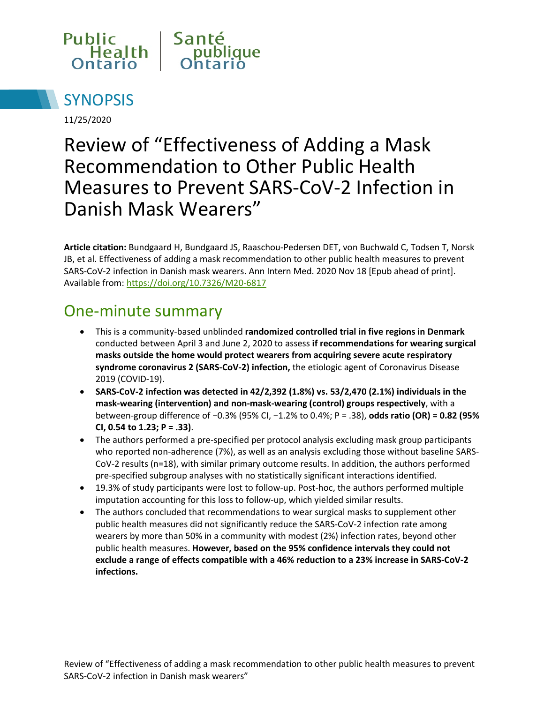



11/25/2020

# Review of "Effectiveness of Adding a Mask Recommendation to Other Public Health Measures to Prevent SARS-CoV-2 Infection in Danish Mask Wearers"

**Article citation:** Bundgaard H, Bundgaard JS, Raaschou-Pedersen DET, von Buchwald C, Todsen T, Norsk JB, et al. Effectiveness of adding a mask recommendation to other public health measures to prevent SARS-CoV-2 infection in Danish mask wearers. Ann Intern Med. 2020 Nov 18 [Epub ahead of print]. Available from:<https://doi.org/10.7326/M20-6817>

#### One-minute summary

- This is a community-based unblinded **randomized controlled trial in five regions in Denmark** conducted between April 3 and June 2, 2020 to assess **if recommendations for wearing surgical masks outside the home would protect wearers from acquiring severe acute respiratory syndrome coronavirus 2 (SARS-CoV-2) infection,** the etiologic agent of Coronavirus Disease 2019 (COVID-19).
- **SARS-CoV-2 infection was detected in 42/2,392 (1.8%) vs. 53/2,470 (2.1%) individuals in the mask-wearing (intervention) and non-mask-wearing (control) groups respectively**, with a between-group difference of −0.3% (95% CI, −1.2% to 0.4%; P = .38), **odds ratio (OR) = 0.82 (95% CI, 0.54 to 1.23; P = .33)**.
- The authors performed a pre-specified per protocol analysis excluding mask group participants who reported non-adherence (7%), as well as an analysis excluding those without baseline SARS-CoV-2 results (n=18), with similar primary outcome results. In addition, the authors performed pre-specified subgroup analyses with no statistically significant interactions identified.
- 19.3% of study participants were lost to follow-up. Post-hoc, the authors performed multiple imputation accounting for this loss to follow-up, which yielded similar results.
- The authors concluded that recommendations to wear surgical masks to supplement other public health measures did not significantly reduce the SARS-CoV-2 infection rate among wearers by more than 50% in a community with modest (2%) infection rates, beyond other public health measures. **However, based on the 95% confidence intervals they could not exclude a range of effects compatible with a 46% reduction to a 23% increase in SARS-CoV-2 infections.**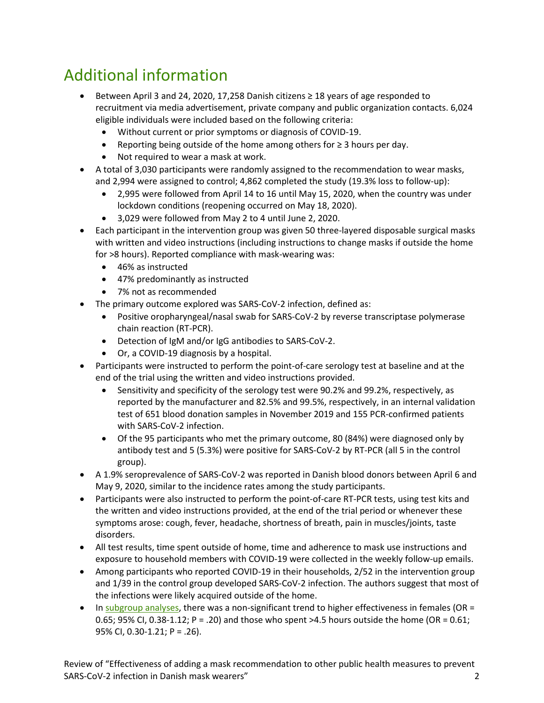# Additional information

- Between April 3 and 24, 2020, 17,258 Danish citizens ≥ 18 years of age responded to recruitment via media advertisement, private company and public organization contacts. 6,024 eligible individuals were included based on the following criteria:
	- Without current or prior symptoms or diagnosis of COVID-19.
	- Reporting being outside of the home among others for  $\geq 3$  hours per day.
	- Not required to wear a mask at work.
- A total of 3,030 participants were randomly assigned to the recommendation to wear masks, and 2,994 were assigned to control; 4,862 completed the study (19.3% loss to follow-up):
	- 2,995 were followed from April 14 to 16 until May 15, 2020, when the country was under lockdown conditions (reopening occurred on May 18, 2020).
	- 3,029 were followed from May 2 to 4 until June 2, 2020.
- Each participant in the intervention group was given 50 three-layered disposable surgical masks with written and video instructions (including instructions to change masks if outside the home for >8 hours). Reported compliance with mask-wearing was:
	- 46% as instructed
	- 47% predominantly as instructed
	- 7% not as recommended
- The primary outcome explored was SARS-CoV-2 infection, defined as:
	- Positive oropharyngeal/nasal swab for SARS-CoV-2 by reverse transcriptase polymerase chain reaction (RT-PCR).
	- Detection of IgM and/or IgG antibodies to SARS-CoV-2.
	- Or, a COVID-19 diagnosis by a hospital.
- Participants were instructed to perform the point-of-care serology test at baseline and at the end of the trial using the written and video instructions provided.
	- Sensitivity and specificity of the serology test were 90.2% and 99.2%, respectively, as reported by the manufacturer and 82.5% and 99.5%, respectively, in an internal validation test of 651 blood donation samples in November 2019 and 155 PCR-confirmed patients with SARS-CoV-2 infection.
	- Of the 95 participants who met the primary outcome, 80 (84%) were diagnosed only by antibody test and 5 (5.3%) were positive for SARS-CoV-2 by RT-PCR (all 5 in the control group).
- A 1.9% seroprevalence of SARS-CoV-2 was reported in Danish blood donors between April 6 and May 9, 2020, similar to the incidence rates among the study participants.
- Participants were also instructed to perform the point-of-care RT-PCR tests, using test kits and the written and video instructions provided, at the end of the trial period or whenever these symptoms arose: cough, fever, headache, shortness of breath, pain in muscles/joints, taste disorders.
- All test results, time spent outside of home, time and adherence to mask use instructions and exposure to household members with COVID-19 were collected in the weekly follow-up emails.
- Among participants who reported COVID-19 in their households, 2/52 in the intervention group and 1/39 in the control group developed SARS-CoV-2 infection. The authors suggest that most of the infections were likely acquired outside of the home.
- In subgroup analyses, there was a non-significant trend to higher effectiveness in females (OR = 0.65; 95% CI, 0.38-1.12; P = .20) and those who spent >4.5 hours outside the home (OR = 0.61; 95% CI, 0.30-1.21; P = .26).

Review of "Effectiveness of adding a mask recommendation to other public health measures to prevent SARS-CoV-2 infection in Danish mask wearers" 2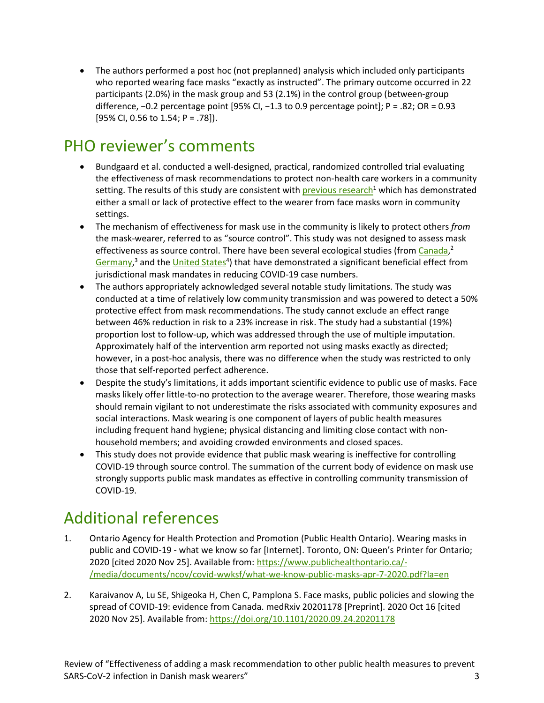• The authors performed a post hoc (not preplanned) analysis which included only participants who reported wearing face masks "exactly as instructed". The primary outcome occurred in 22 participants (2.0%) in the mask group and 53 (2.1%) in the control group (between-group difference, −0.2 percentage point [95% CI, −1.3 to 0.9 percentage point]; P = .82; OR = 0.93 [95% CI, 0.56 to 1.54; P = .78]).

## PHO reviewer's comments

- Bundgaard et al. conducted a well-designed, practical, randomized controlled trial evaluating the effectiveness of mask recommendations to protect non-health care workers in a community setting. The results of this study are consistent with previous research<sup>1</sup> which has demonstrated either a small or lack of protective effect to the wearer from face masks worn in community settings.
- The mechanism of effectiveness for mask use in the community is likely to protect others *from* the mask-wearer, referred to as "source control". This study was not designed to assess mask effectiveness as source control. There have been several ecological studies (from [Canada,](https://www.medrxiv.org/content/10.1101/2020.09.24.20201178v2)<sup>2</sup> [Germany,](https://www.iza.org/publications/dp/13319/face-masks-considerably-reduce-covid-19-cases-in-germany-a-synthetic-control-method-approach)<sup>3</sup> and the United States<sup>4</sup>) that have demonstrated a significant beneficial effect from jurisdictional mask mandates in reducing COVID-19 case numbers.
- The authors appropriately acknowledged several notable study limitations. The study was conducted at a time of relatively low community transmission and was powered to detect a 50% protective effect from mask recommendations. The study cannot exclude an effect range between 46% reduction in risk to a 23% increase in risk. The study had a substantial (19%) proportion lost to follow-up, which was addressed through the use of multiple imputation. Approximately half of the intervention arm reported not using masks exactly as directed; however, in a post-hoc analysis, there was no difference when the study was restricted to only those that self-reported perfect adherence.
- Despite the study's limitations, it adds important scientific evidence to public use of masks. Face masks likely offer little-to-no protection to the average wearer. Therefore, those wearing masks should remain vigilant to not underestimate the risks associated with community exposures and social interactions. Mask wearing is one component of layers of public health measures including frequent hand hygiene; physical distancing and limiting close contact with nonhousehold members; and avoiding crowded environments and closed spaces.
- This study does not provide evidence that public mask wearing is ineffective for controlling COVID-19 through source control. The summation of the current body of evidence on mask use strongly supports public mask mandates as effective in controlling community transmission of COVID-19.

#### Additional references

- 1. Ontario Agency for Health Protection and Promotion (Public Health Ontario). Wearing masks in public and COVID-19 - what we know so far [Internet]. Toronto, ON: Queen's Printer for Ontario; 2020 [cited 2020 Nov 25]. Available from: [https://www.publichealthontario.ca/-](http://www.publichealthontario.ca/-/media/documents/ncov/covid-wwksf/what-we-know-public-masks-apr-7-2020.pdf?la=en) [/media/documents/ncov/covid-wwksf/what-we-know-public-masks-apr-7-2020.pdf?la=en](http://www.publichealthontario.ca/-/media/documents/ncov/covid-wwksf/what-we-know-public-masks-apr-7-2020.pdf?la=en)
- 2. Karaivanov A, Lu SE, Shigeoka H, Chen C, Pamplona S. Face masks, public policies and slowing the spread of COVID-19: evidence from Canada. medRxiv 20201178 [Preprint]. 2020 Oct 16 [cited 2020 Nov 25]. Available from:<https://doi.org/10.1101/2020.09.24.20201178>